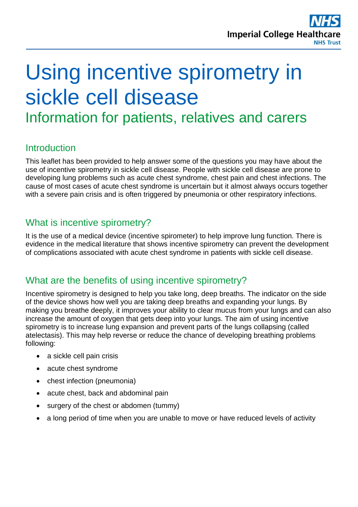

# Using incentive spirometry in sickle cell disease

Information for patients, relatives and carers

# **Introduction**

This leaflet has been provided to help answer some of the questions you may have about the use of incentive spirometry in sickle cell disease. People with sickle cell disease are prone to developing lung problems such as acute chest syndrome, chest pain and chest infections. The cause of most cases of acute chest syndrome is uncertain but it almost always occurs together with a severe pain crisis and is often triggered by pneumonia or other respiratory infections.

# What is incentive spirometry?

It is the use of a medical device (incentive spirometer) to help improve lung function. There is evidence in the medical literature that shows incentive spirometry can prevent the development of complications associated with acute chest syndrome in patients with sickle cell disease.

## What are the benefits of using incentive spirometry?

Incentive spirometry is designed to help you take long, deep breaths. The indicator on the side of the device shows how well you are taking deep breaths and expanding your lungs. By making you breathe deeply, it improves your ability to clear mucus from your lungs and can also increase the amount of oxygen that gets deep into your lungs. The aim of using incentive spirometry is to increase lung expansion and prevent parts of the lungs collapsing (called atelectasis). This may help reverse or reduce the chance of developing breathing problems following:

- a sickle cell pain crisis
- acute chest syndrome
- chest infection (pneumonia)
- acute chest, back and abdominal pain
- surgery of the chest or abdomen (tummy)
- a long period of time when you are unable to move or have reduced levels of activity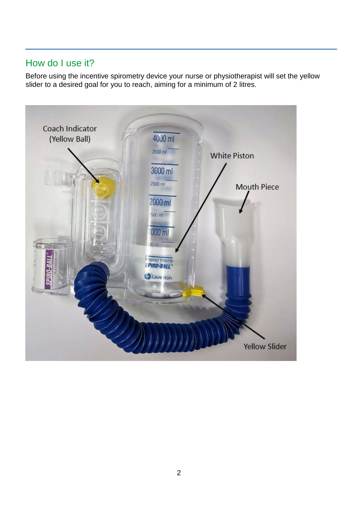# How do I use it?

Before using the incentive spirometry device your nurse or physiotherapist will set the yellow slider to a desired goal for you to reach, aiming for a minimum of 2 litres.

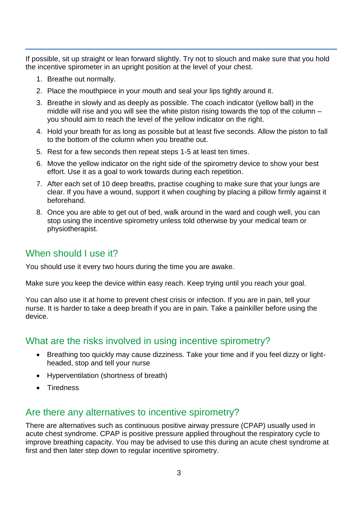If possible, sit up straight or lean forward slightly. Try not to slouch and make sure that you hold the incentive spirometer in an upright position at the level of your chest.

- 1. Breathe out normally.
- 2. Place the mouthpiece in your mouth and seal your lips tightly around it.
- 3. Breathe in slowly and as deeply as possible. The coach indicator (yellow ball) in the middle will rise and you will see the white piston rising towards the top of the column – you should aim to reach the level of the yellow indicator on the right.
- 4. Hold your breath for as long as possible but at least five seconds. Allow the piston to fall to the bottom of the column when you breathe out.
- 5. Rest for a few seconds then repeat steps 1-5 at least ten times.
- 6. Move the yellow indicator on the right side of the spirometry device to show your best effort. Use it as a goal to work towards during each repetition.
- 7. After each set of 10 deep breaths, practise coughing to make sure that your lungs are clear. If you have a wound, support it when coughing by placing a pillow firmly against it beforehand.
- 8. Once you are able to get out of bed, walk around in the ward and cough well, you can stop using the incentive spirometry unless told otherwise by your medical team or physiotherapist.

# When should I use it?

You should use it every two hours during the time you are awake.

Make sure you keep the device within easy reach. Keep trying until you reach your goal.

You can also use it at home to prevent chest crisis or infection. If you are in pain, tell your nurse. It is harder to take a deep breath if you are in pain. Take a painkiller before using the device.

# What are the risks involved in using incentive spirometry?

- Breathing too quickly may cause dizziness. Take your time and if you feel dizzy or lightheaded, stop and tell your nurse
- Hyperventilation (shortness of breath)
- Tiredness

# Are there any alternatives to incentive spirometry?

There are alternatives such as continuous positive airway pressure (CPAP) usually used in acute chest syndrome. CPAP is positive pressure applied throughout the respiratory cycle to improve breathing capacity. You may be advised to use this during an acute chest syndrome at first and then later step down to regular incentive spirometry.